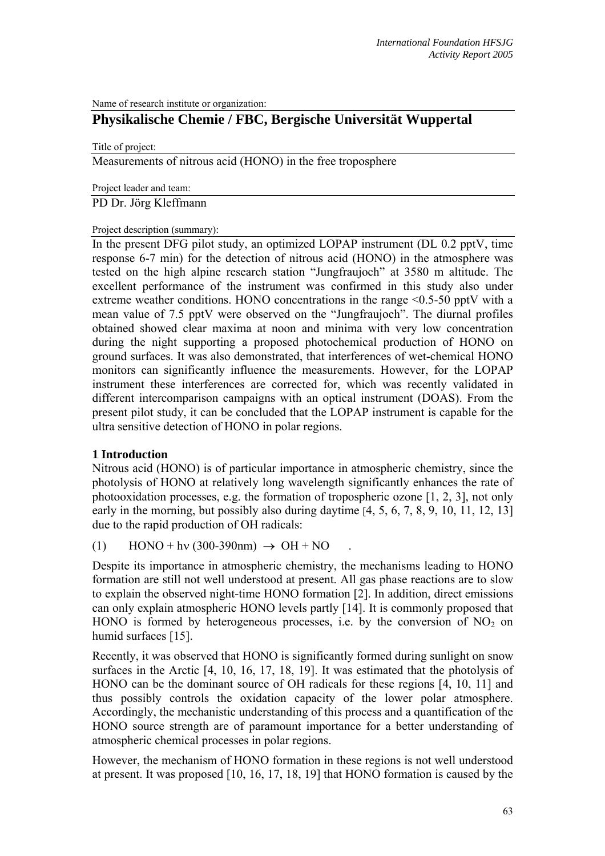Name of research institute or organization:

# **Physikalische Chemie / FBC, Bergische Universität Wuppertal**

Title of project:

Measurements of nitrous acid (HONO) in the free troposphere

Project leader and team:

PD Dr. Jörg Kleffmann

Project description (summary):

In the present DFG pilot study, an optimized LOPAP instrument (DL 0.2 pptV, time response 6-7 min) for the detection of nitrous acid (HONO) in the atmosphere was tested on the high alpine research station "Jungfraujoch" at 3580 m altitude. The excellent performance of the instrument was confirmed in this study also under extreme weather conditions. HONO concentrations in the range  $\leq 0.5$ -50 pptV with a mean value of 7.5 pptV were observed on the "Jungfraujoch". The diurnal profiles obtained showed clear maxima at noon and minima with very low concentration during the night supporting a proposed photochemical production of HONO on ground surfaces. It was also demonstrated, that interferences of wet-chemical HONO monitors can significantly influence the measurements. However, for the LOPAP instrument these interferences are corrected for, which was recently validated in different intercomparison campaigns with an optical instrument (DOAS). From the present pilot study, it can be concluded that the LOPAP instrument is capable for the ultra sensitive detection of HONO in polar regions.

#### **1 Introduction**

Nitrous acid (HONO) is of particular importance in atmospheric chemistry, since the photolysis of HONO at relatively long wavelength significantly enhances the rate of photooxidation processes, e.g. the formation of tropospheric ozone [1, 2, 3], not only early in the morning, but possibly also during daytime [4, 5, 6, 7, 8, 9, 10, 11, 12, 13] due to the rapid production of OH radicals:

(1)  $\text{HONO} + \text{hv} (300-390 \text{nm}) \rightarrow \text{OH} + \text{NO}$ 

Despite its importance in atmospheric chemistry, the mechanisms leading to HONO formation are still not well understood at present. All gas phase reactions are to slow to explain the observed night-time HONO formation [2]. In addition, direct emissions can only explain atmospheric HONO levels partly [14]. It is commonly proposed that HONO is formed by heterogeneous processes, i.e. by the conversion of  $NO<sub>2</sub>$  on humid surfaces [15].

Recently, it was observed that HONO is significantly formed during sunlight on snow surfaces in the Arctic [4, 10, 16, 17, 18, 19]. It was estimated that the photolysis of HONO can be the dominant source of OH radicals for these regions [4, 10, 11] and thus possibly controls the oxidation capacity of the lower polar atmosphere. Accordingly, the mechanistic understanding of this process and a quantification of the HONO source strength are of paramount importance for a better understanding of atmospheric chemical processes in polar regions.

However, the mechanism of HONO formation in these regions is not well understood at present. It was proposed [10, 16, 17, 18, 19] that HONO formation is caused by the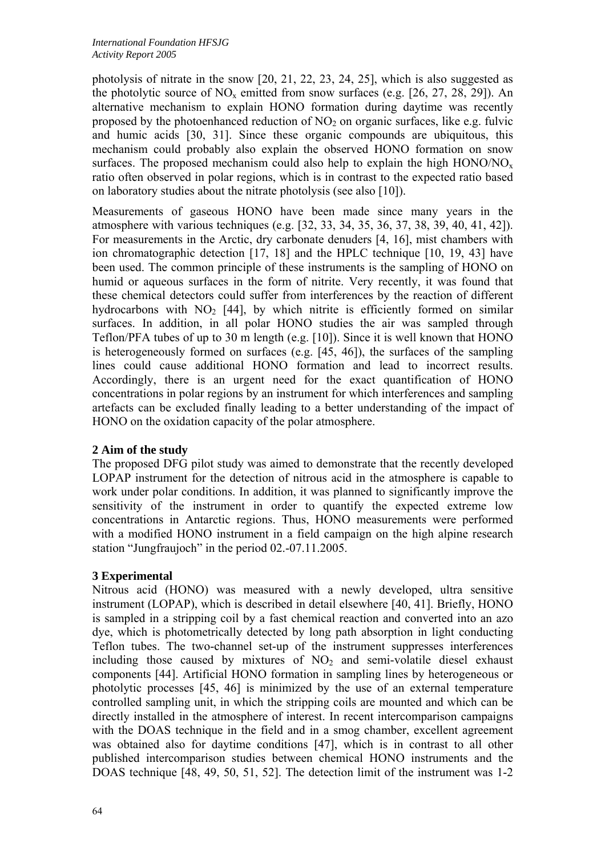photolysis of nitrate in the snow [20, 21, 22, 23, 24, 25], which is also suggested as the photolytic source of  $NO_x$  emitted from snow surfaces (e.g. [26, 27, 28, 29]). An alternative mechanism to explain HONO formation during daytime was recently proposed by the photoenhanced reduction of  $NO<sub>2</sub>$  on organic surfaces, like e.g. fulvic and humic acids [30, 31]. Since these organic compounds are ubiquitous, this mechanism could probably also explain the observed HONO formation on snow surfaces. The proposed mechanism could also help to explain the high  $HONO/NO<sub>x</sub>$ ratio often observed in polar regions, which is in contrast to the expected ratio based on laboratory studies about the nitrate photolysis (see also [10]).

Measurements of gaseous HONO have been made since many years in the atmosphere with various techniques (e.g. [32, 33, 34, 35, 36, 37, 38, 39, 40, 41, 42]). For measurements in the Arctic, dry carbonate denuders [4, 16], mist chambers with ion chromatographic detection [17, 18] and the HPLC technique [10, 19, 43] have been used. The common principle of these instruments is the sampling of HONO on humid or aqueous surfaces in the form of nitrite. Very recently, it was found that these chemical detectors could suffer from interferences by the reaction of different hydrocarbons with  $NO<sub>2</sub>$  [44], by which nitrite is efficiently formed on similar surfaces. In addition, in all polar HONO studies the air was sampled through Teflon/PFA tubes of up to 30 m length (e.g. [10]). Since it is well known that HONO is heterogeneously formed on surfaces (e.g. [45, 46]), the surfaces of the sampling lines could cause additional HONO formation and lead to incorrect results. Accordingly, there is an urgent need for the exact quantification of HONO concentrations in polar regions by an instrument for which interferences and sampling artefacts can be excluded finally leading to a better understanding of the impact of HONO on the oxidation capacity of the polar atmosphere.

# **2 Aim of the study**

The proposed DFG pilot study was aimed to demonstrate that the recently developed LOPAP instrument for the detection of nitrous acid in the atmosphere is capable to work under polar conditions. In addition, it was planned to significantly improve the sensitivity of the instrument in order to quantify the expected extreme low concentrations in Antarctic regions. Thus, HONO measurements were performed with a modified HONO instrument in a field campaign on the high alpine research station "Jungfraujoch" in the period 02.-07.11.2005.

# **3 Experimental**

Nitrous acid (HONO) was measured with a newly developed, ultra sensitive instrument (LOPAP), which is described in detail elsewhere [40, 41]. Briefly, HONO is sampled in a stripping coil by a fast chemical reaction and converted into an azo dye, which is photometrically detected by long path absorption in light conducting Teflon tubes. The two-channel set-up of the instrument suppresses interferences including those caused by mixtures of  $NO<sub>2</sub>$  and semi-volatile diesel exhaust components [44]. Artificial HONO formation in sampling lines by heterogeneous or photolytic processes [45, 46] is minimized by the use of an external temperature controlled sampling unit, in which the stripping coils are mounted and which can be directly installed in the atmosphere of interest. In recent intercomparison campaigns with the DOAS technique in the field and in a smog chamber, excellent agreement was obtained also for daytime conditions [47], which is in contrast to all other published intercomparison studies between chemical HONO instruments and the DOAS technique [48, 49, 50, 51, 52]. The detection limit of the instrument was 1-2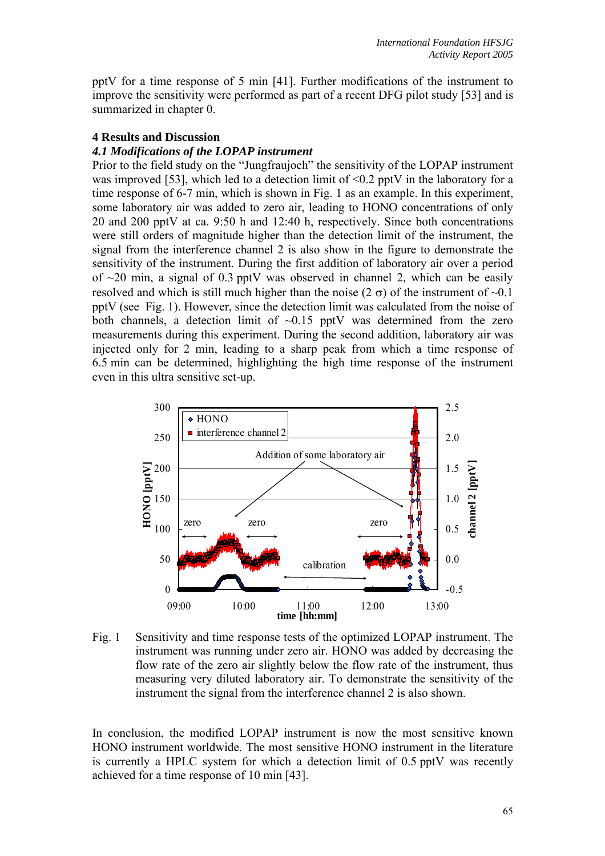pptV for a time response of 5 min [41]. Further modifications of the instrument to improve the sensitivity were performed as part of a recent DFG pilot study [53] and is summarized in chapter 0.

#### **4 Results and Discussion**

#### *4.1 Modifications of the LOPAP instrument*

Prior to the field study on the "Jungfraujoch" the sensitivity of the LOPAP instrument was improved [53], which led to a detection limit of  $\leq 0.2$  pptV in the laboratory for a time response of 6-7 min, which is shown in Fig. 1 as an example. In this experiment, some laboratory air was added to zero air, leading to HONO concentrations of only 20 and 200 pptV at ca. 9:50 h and 12:40 h, respectively. Since both concentrations were still orders of magnitude higher than the detection limit of the instrument, the signal from the interference channel 2 is also show in the figure to demonstrate the sensitivity of the instrument. During the first addition of laboratory air over a period of  $\sim$ 20 min, a signal of 0.3 pptV was observed in channel 2, which can be easily resolved and which is still much higher than the noise (2  $\sigma$ ) of the instrument of  $\sim 0.1$ pptV (see Fig. 1). However, since the detection limit was calculated from the noise of both channels, a detection limit of  $\sim 0.15$  pptV was determined from the zero measurements during this experiment. During the second addition, laboratory air was injected only for 2 min, leading to a sharp peak from which a time response of 6.5 min can be determined, highlighting the high time response of the instrument even in this ultra sensitive set-up.



Fig. 1 Sensitivity and time response tests of the optimized LOPAP instrument. The instrument was running under zero air. HONO was added by decreasing the flow rate of the zero air slightly below the flow rate of the instrument, thus measuring very diluted laboratory air. To demonstrate the sensitivity of the instrument the signal from the interference channel 2 is also shown.

In conclusion, the modified LOPAP instrument is now the most sensitive known HONO instrument worldwide. The most sensitive HONO instrument in the literature is currently a HPLC system for which a detection limit of 0.5 pptV was recently achieved for a time response of 10 min [43].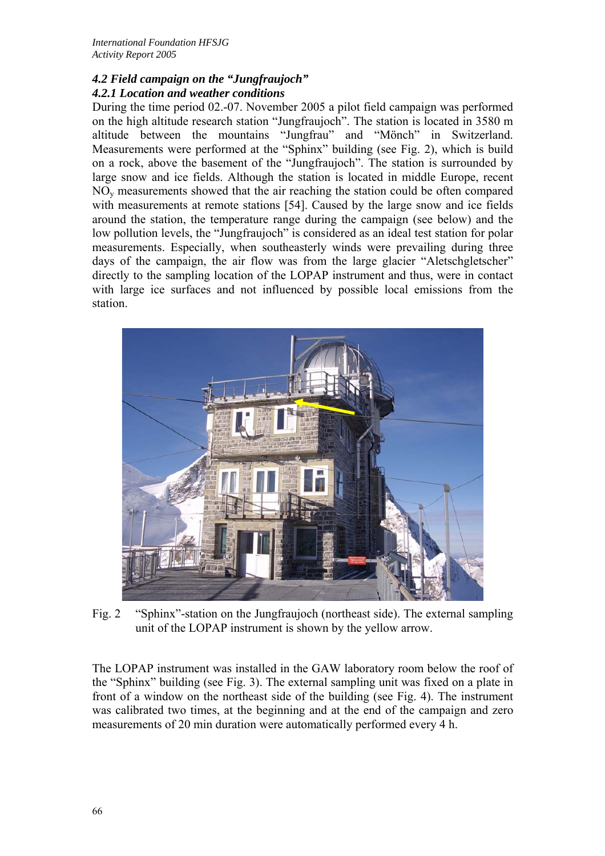## *4.2 Field campaign on the "Jungfraujoch" 4.2.1 Location and weather conditions*

During the time period 02.-07. November 2005 a pilot field campaign was performed on the high altitude research station "Jungfraujoch". The station is located in 3580 m altitude between the mountains "Jungfrau" and "Mönch" in Switzerland. Measurements were performed at the "Sphinx" building (see Fig. 2), which is build on a rock, above the basement of the "Jungfraujoch". The station is surrounded by large snow and ice fields. Although the station is located in middle Europe, recent NOy measurements showed that the air reaching the station could be often compared with measurements at remote stations [54]. Caused by the large snow and ice fields around the station, the temperature range during the campaign (see below) and the low pollution levels, the "Jungfraujoch" is considered as an ideal test station for polar measurements. Especially, when southeasterly winds were prevailing during three days of the campaign, the air flow was from the large glacier "Aletschgletscher" directly to the sampling location of the LOPAP instrument and thus, were in contact with large ice surfaces and not influenced by possible local emissions from the station.



Fig. 2 "Sphinx"-station on the Jungfraujoch (northeast side). The external sampling unit of the LOPAP instrument is shown by the yellow arrow.

The LOPAP instrument was installed in the GAW laboratory room below the roof of the "Sphinx" building (see Fig. 3). The external sampling unit was fixed on a plate in front of a window on the northeast side of the building (see Fig. 4). The instrument was calibrated two times, at the beginning and at the end of the campaign and zero measurements of 20 min duration were automatically performed every 4 h.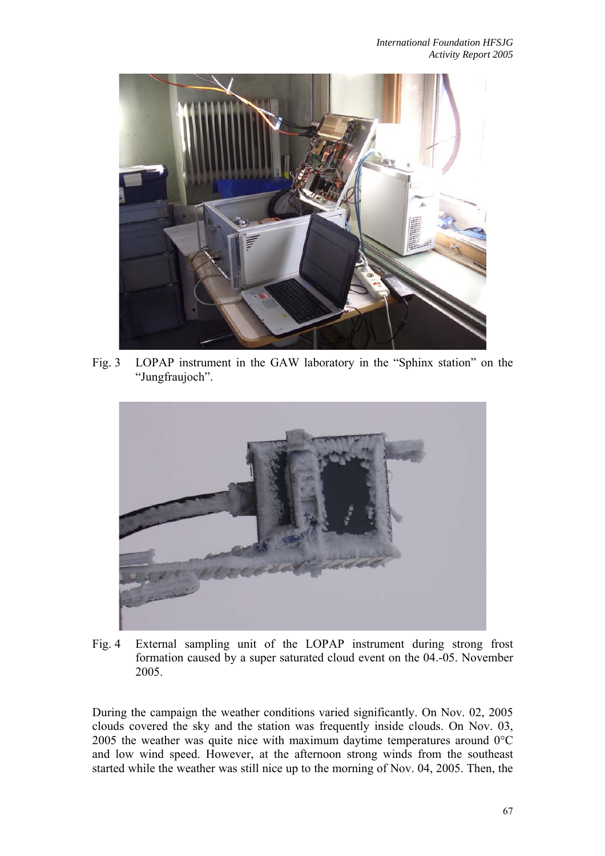

Fig. 3 LOPAP instrument in the GAW laboratory in the "Sphinx station" on the "Jungfraujoch".



Fig. 4 External sampling unit of the LOPAP instrument during strong frost formation caused by a super saturated cloud event on the 04.-05. November 2005.

During the campaign the weather conditions varied significantly. On Nov. 02, 2005 clouds covered the sky and the station was frequently inside clouds. On Nov. 03, 2005 the weather was quite nice with maximum daytime temperatures around 0°C and low wind speed. However, at the afternoon strong winds from the southeast started while the weather was still nice up to the morning of Nov. 04, 2005. Then, the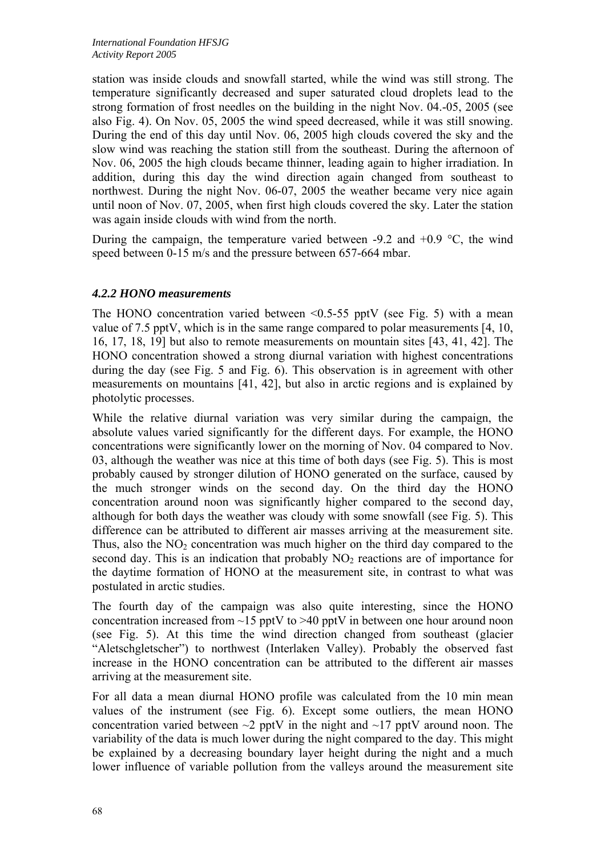station was inside clouds and snowfall started, while the wind was still strong. The temperature significantly decreased and super saturated cloud droplets lead to the strong formation of frost needles on the building in the night Nov. 04.-05, 2005 (see also Fig. 4). On Nov. 05, 2005 the wind speed decreased, while it was still snowing. During the end of this day until Nov. 06, 2005 high clouds covered the sky and the slow wind was reaching the station still from the southeast. During the afternoon of Nov. 06, 2005 the high clouds became thinner, leading again to higher irradiation. In addition, during this day the wind direction again changed from southeast to northwest. During the night Nov. 06-07, 2005 the weather became very nice again until noon of Nov. 07, 2005, when first high clouds covered the sky. Later the station was again inside clouds with wind from the north.

During the campaign, the temperature varied between -9.2 and  $+0.9$  °C, the wind speed between 0-15 m/s and the pressure between 657-664 mbar.

## *4.2.2 HONO measurements*

The HONO concentration varied between  $\leq 0.5$ -55 pptV (see Fig. 5) with a mean value of 7.5 pptV, which is in the same range compared to polar measurements [4, 10, 16, 17, 18, 19] but also to remote measurements on mountain sites [43, 41, 42]. The HONO concentration showed a strong diurnal variation with highest concentrations during the day (see Fig. 5 and Fig. 6). This observation is in agreement with other measurements on mountains [41, 42], but also in arctic regions and is explained by photolytic processes.

While the relative diurnal variation was very similar during the campaign, the absolute values varied significantly for the different days. For example, the HONO concentrations were significantly lower on the morning of Nov. 04 compared to Nov. 03, although the weather was nice at this time of both days (see Fig. 5). This is most probably caused by stronger dilution of HONO generated on the surface, caused by the much stronger winds on the second day. On the third day the HONO concentration around noon was significantly higher compared to the second day, although for both days the weather was cloudy with some snowfall (see Fig. 5). This difference can be attributed to different air masses arriving at the measurement site. Thus, also the  $NO<sub>2</sub>$  concentration was much higher on the third day compared to the second day. This is an indication that probably  $NO<sub>2</sub>$  reactions are of importance for the daytime formation of HONO at the measurement site, in contrast to what was postulated in arctic studies.

The fourth day of the campaign was also quite interesting, since the HONO concentration increased from  $\sim$ 15 pptV to  $>$ 40 pptV in between one hour around noon (see Fig. 5). At this time the wind direction changed from southeast (glacier "Aletschgletscher") to northwest (Interlaken Valley). Probably the observed fast increase in the HONO concentration can be attributed to the different air masses arriving at the measurement site.

For all data a mean diurnal HONO profile was calculated from the 10 min mean values of the instrument (see Fig. 6). Except some outliers, the mean HONO concentration varied between  $\sim$ 2 pptV in the night and  $\sim$ 17 pptV around noon. The variability of the data is much lower during the night compared to the day. This might be explained by a decreasing boundary layer height during the night and a much lower influence of variable pollution from the valleys around the measurement site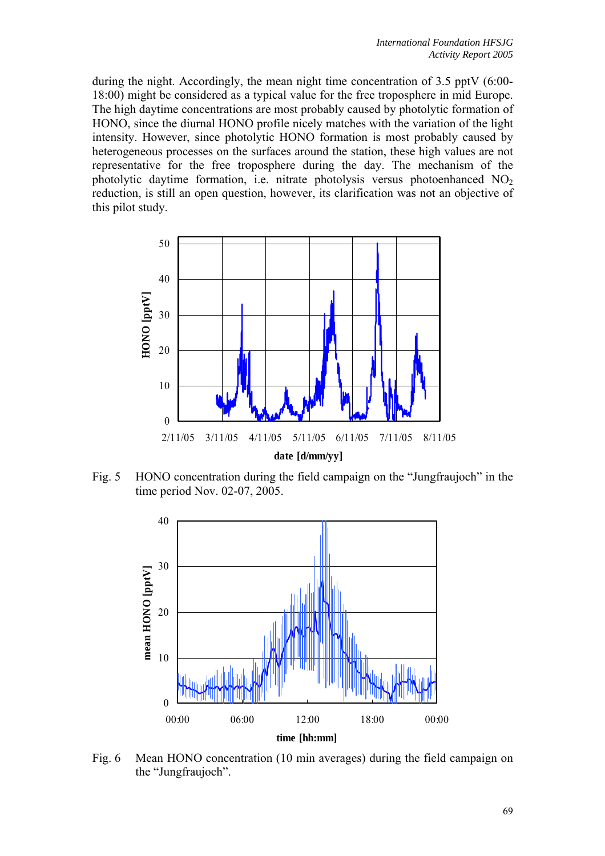during the night. Accordingly, the mean night time concentration of 3.5 pptV (6:00- 18:00) might be considered as a typical value for the free troposphere in mid Europe. The high daytime concentrations are most probably caused by photolytic formation of HONO, since the diurnal HONO profile nicely matches with the variation of the light intensity. However, since photolytic HONO formation is most probably caused by heterogeneous processes on the surfaces around the station, these high values are not representative for the free troposphere during the day. The mechanism of the photolytic daytime formation, i.e. nitrate photolysis versus photoenhanced  $NO<sub>2</sub>$ reduction, is still an open question, however, its clarification was not an objective of this pilot study.



Fig. 5 HONO concentration during the field campaign on the "Jungfraujoch" in the time period Nov. 02-07, 2005.



Fig. 6 Mean HONO concentration (10 min averages) during the field campaign on the "Jungfraujoch".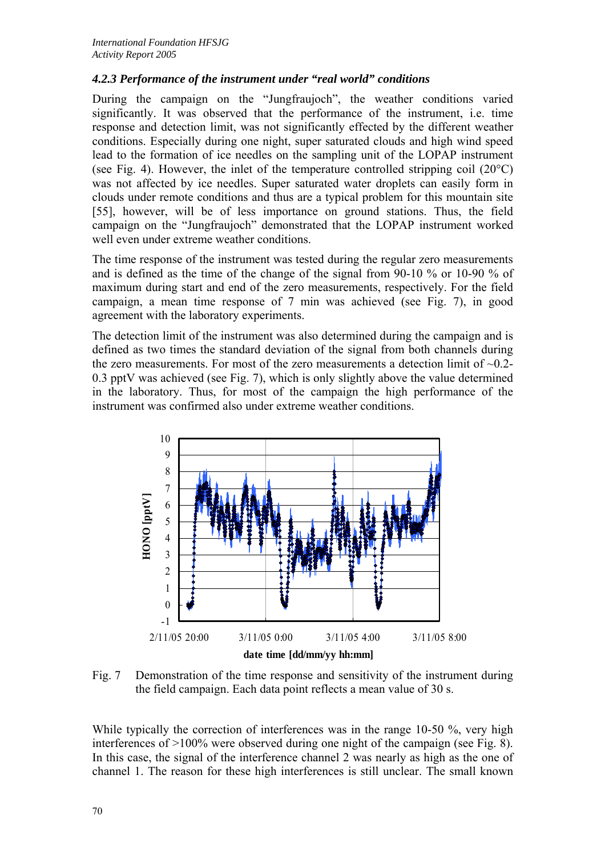# *4.2.3 Performance of the instrument under "real world" conditions*

During the campaign on the "Jungfraujoch", the weather conditions varied significantly. It was observed that the performance of the instrument, i.e. time response and detection limit, was not significantly effected by the different weather conditions. Especially during one night, super saturated clouds and high wind speed lead to the formation of ice needles on the sampling unit of the LOPAP instrument (see Fig. 4). However, the inlet of the temperature controlled stripping coil (20°C) was not affected by ice needles. Super saturated water droplets can easily form in clouds under remote conditions and thus are a typical problem for this mountain site [55], however, will be of less importance on ground stations. Thus, the field campaign on the "Jungfraujoch" demonstrated that the LOPAP instrument worked well even under extreme weather conditions.

The time response of the instrument was tested during the regular zero measurements and is defined as the time of the change of the signal from 90-10 % or 10-90 % of maximum during start and end of the zero measurements, respectively. For the field campaign, a mean time response of 7 min was achieved (see Fig. 7), in good agreement with the laboratory experiments.

The detection limit of the instrument was also determined during the campaign and is defined as two times the standard deviation of the signal from both channels during the zero measurements. For most of the zero measurements a detection limit of  $\sim 0.2$ -0.3 pptV was achieved (see Fig. 7), which is only slightly above the value determined in the laboratory. Thus, for most of the campaign the high performance of the instrument was confirmed also under extreme weather conditions.



Fig. 7 Demonstration of the time response and sensitivity of the instrument during the field campaign. Each data point reflects a mean value of 30 s.

While typically the correction of interferences was in the range 10-50 %, very high interferences of >100% were observed during one night of the campaign (see Fig. 8). In this case, the signal of the interference channel 2 was nearly as high as the one of channel 1. The reason for these high interferences is still unclear. The small known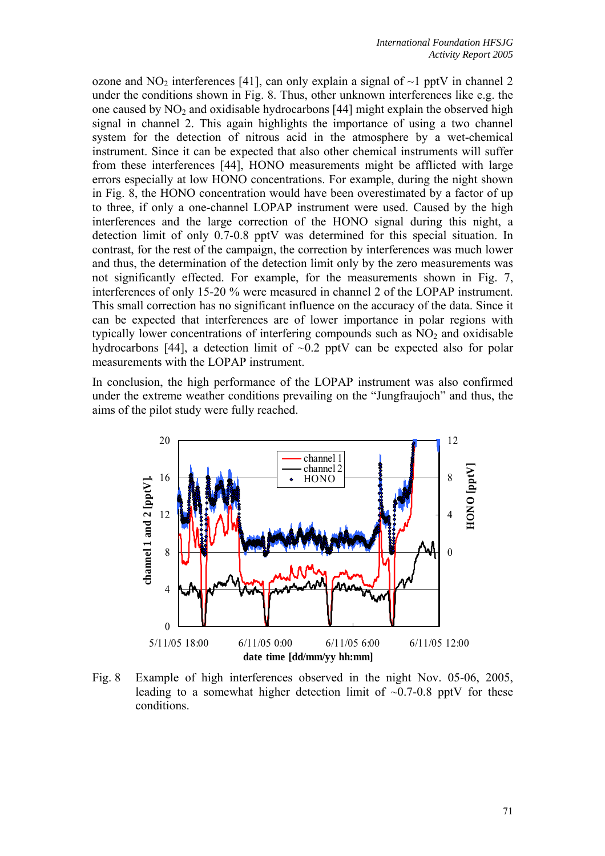ozone and  $NO<sub>2</sub>$  interferences [41], can only explain a signal of  $\sim$ 1 pptV in channel 2 under the conditions shown in Fig. 8. Thus, other unknown interferences like e.g. the one caused by  $NO<sub>2</sub>$  and oxidisable hydrocarbons [44] might explain the observed high signal in channel 2. This again highlights the importance of using a two channel system for the detection of nitrous acid in the atmosphere by a wet-chemical instrument. Since it can be expected that also other chemical instruments will suffer from these interferences [44], HONO measurements might be afflicted with large errors especially at low HONO concentrations. For example, during the night shown in Fig. 8, the HONO concentration would have been overestimated by a factor of up to three, if only a one-channel LOPAP instrument were used. Caused by the high interferences and the large correction of the HONO signal during this night, a detection limit of only 0.7-0.8 pptV was determined for this special situation. In contrast, for the rest of the campaign, the correction by interferences was much lower and thus, the determination of the detection limit only by the zero measurements was not significantly effected. For example, for the measurements shown in Fig. 7, interferences of only 15-20 % were measured in channel 2 of the LOPAP instrument. This small correction has no significant influence on the accuracy of the data. Since it can be expected that interferences are of lower importance in polar regions with typically lower concentrations of interfering compounds such as  $NO<sub>2</sub>$  and oxidisable hydrocarbons [44], a detection limit of  $\sim 0.2$  pptV can be expected also for polar measurements with the LOPAP instrument.

In conclusion, the high performance of the LOPAP instrument was also confirmed under the extreme weather conditions prevailing on the "Jungfraujoch" and thus, the aims of the pilot study were fully reached.



Fig. 8 Example of high interferences observed in the night Nov. 05-06, 2005, leading to a somewhat higher detection limit of  $\sim 0.7$ -0.8 pptV for these conditions.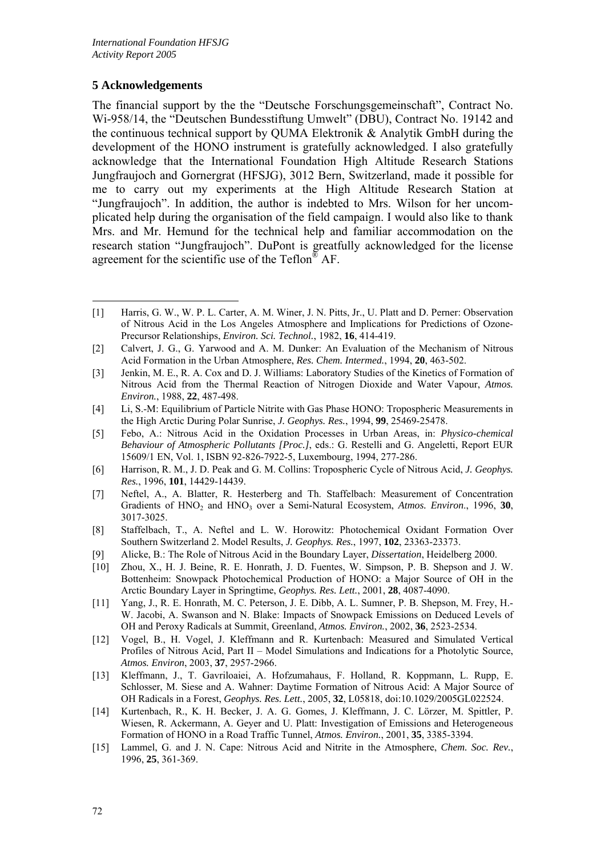## **5 Acknowledgements**

<u>.</u>

The financial support by the the "Deutsche Forschungsgemeinschaft", Contract No. Wi-958/14, the "Deutschen Bundesstiftung Umwelt" (DBU), Contract No. 19142 and the continuous technical support by QUMA Elektronik & Analytik GmbH during the development of the HONO instrument is gratefully acknowledged. I also gratefully acknowledge that the International Foundation High Altitude Research Stations Jungfraujoch and Gornergrat (HFSJG), 3012 Bern, Switzerland, made it possible for me to carry out my experiments at the High Altitude Research Station at "Jungfraujoch". In addition, the author is indebted to Mrs. Wilson for her uncomplicated help during the organisation of the field campaign. I would also like to thank Mrs. and Mr. Hemund for the technical help and familiar accommodation on the research station "Jungfraujoch". DuPont is greatfully acknowledged for the license agreement for the scientific use of the Teflon® AF.

- [7] Neftel, A., A. Blatter, R. Hesterberg and Th. Staffelbach: Measurement of Concentration Gradients of HNO<sub>2</sub> and HNO<sub>3</sub> over a Semi-Natural Ecosystem, Atmos. Environ., 1996, 30, 3017-3025.
- [8] Staffelbach, T., A. Neftel and L. W. Horowitz: Photochemical Oxidant Formation Over Southern Switzerland 2. Model Results, *J. Geophys. Res.*, 1997, **102**, 23363-23373.
- [9] Alicke, B.: The Role of Nitrous Acid in the Boundary Layer, *Dissertation*, Heidelberg 2000.
- [10] Zhou, X., H. J. Beine, R. E. Honrath, J. D. Fuentes, W. Simpson, P. B. Shepson and J. W. Bottenheim: Snowpack Photochemical Production of HONO: a Major Source of OH in the Arctic Boundary Layer in Springtime, *Geophys. Res. Lett.*, 2001, **28**, 4087-4090.
- [11] Yang, J., R. E. Honrath, M. C. Peterson, J. E. Dibb, A. L. Sumner, P. B. Shepson, M. Frey, H.- W. Jacobi, A. Swanson and N. Blake: Impacts of Snowpack Emissions on Deduced Levels of OH and Peroxy Radicals at Summit, Greenland, *Atmos. Environ.*, 2002, **36**, 2523-2534.
- [12] Vogel, B., H. Vogel, J. Kleffmann and R. Kurtenbach: Measured and Simulated Vertical Profiles of Nitrous Acid, Part II – Model Simulations and Indications for a Photolytic Source, *Atmos. Environ*, 2003, **37**, 2957-2966.
- [13] Kleffmann, J., T. Gavriloaiei, A. Hofzumahaus, F. Holland, R. Koppmann, L. Rupp, E. Schlosser, M. Siese and A. Wahner: Daytime Formation of Nitrous Acid: A Major Source of OH Radicals in a Forest, *Geophys. Res. Lett.*, 2005, **32**, L05818, doi:10.1029/2005GL022524.
- [14] Kurtenbach, R., K. H. Becker, J. A. G. Gomes, J. Kleffmann, J. C. Lörzer, M. Spittler, P. Wiesen, R. Ackermann, A. Geyer and U. Platt: Investigation of Emissions and Heterogeneous Formation of HONO in a Road Traffic Tunnel, *Atmos. Environ.*, 2001, **35**, 3385-3394.
- [15] Lammel, G. and J. N. Cape: Nitrous Acid and Nitrite in the Atmosphere, *Chem. Soc. Rev.*, 1996, **25**, 361-369.

<sup>[1]</sup> Harris, G. W., W. P. L. Carter, A. M. Winer, J. N. Pitts, Jr., U. Platt and D. Perner: Observation of Nitrous Acid in the Los Angeles Atmosphere and Implications for Predictions of Ozone-Precursor Relationships, *Environ. Sci. Technol.*, 1982, **16**, 414-419.

<sup>[2]</sup> Calvert, J. G., G. Yarwood and A. M. Dunker: An Evaluation of the Mechanism of Nitrous Acid Formation in the Urban Atmosphere, *Res. Chem. Intermed.*, 1994, **20**, 463-502.

<sup>[3]</sup> Jenkin, M. E., R. A. Cox and D. J. Williams: Laboratory Studies of the Kinetics of Formation of Nitrous Acid from the Thermal Reaction of Nitrogen Dioxide and Water Vapour, *Atmos. Environ.*, 1988, **22**, 487-498.

<sup>[4]</sup> Li, S.-M: Equilibrium of Particle Nitrite with Gas Phase HONO: Tropospheric Measurements in the High Arctic During Polar Sunrise, *J. Geophys. Res.*, 1994, **99**, 25469-25478.

<sup>[5]</sup> Febo, A.: Nitrous Acid in the Oxidation Processes in Urban Areas, in: *Physico-chemical Behaviour of Atmospheric Pollutants [Proc.]*, eds.: G. Restelli and G. Angeletti, Report EUR 15609/1 EN, Vol. 1, ISBN 92-826-7922-5, Luxembourg, 1994, 277-286.

<sup>[6]</sup> Harrison, R. M., J. D. Peak and G. M. Collins: Tropospheric Cycle of Nitrous Acid, *J. Geophys. Res.*, 1996, **101**, 14429-14439.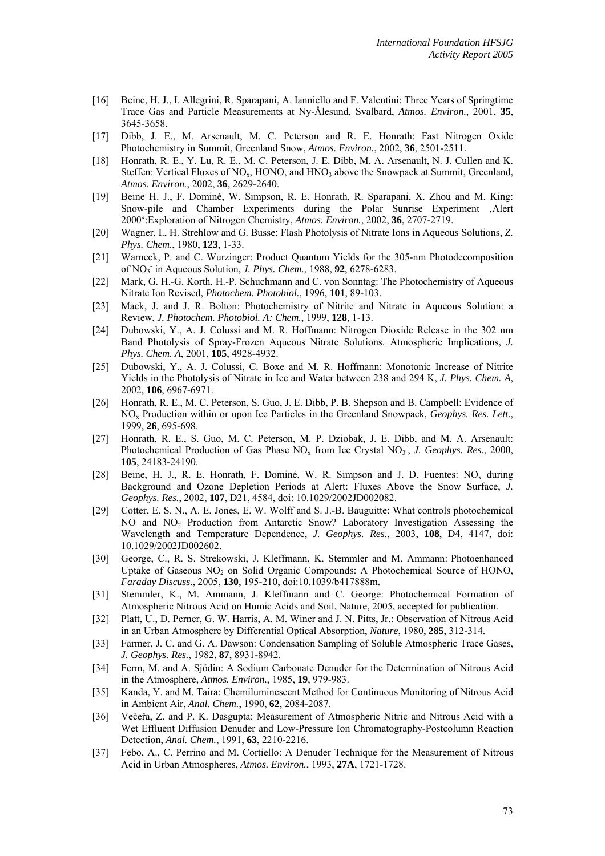- [16] Beine, H. J., I. Allegrini, R. Sparapani, A. Ianniello and F. Valentini: Three Years of Springtime Trace Gas and Particle Measurements at Ny-Ålesund, Svalbard, *Atmos. Environ.*, 2001, **35**, 3645-3658.
- [17] Dibb, J. E., M. Arsenault, M. C. Peterson and R. E. Honrath: Fast Nitrogen Oxide Photochemistry in Summit, Greenland Snow, *Atmos. Environ.*, 2002, **36**, 2501-2511.
- [18] Honrath, R. E., Y. Lu, R. E., M. C. Peterson, J. E. Dibb, M. A. Arsenault, N. J. Cullen and K. Steffen: Vertical Fluxes of  $NO<sub>x</sub>$ , HONO, and HNO<sub>3</sub> above the Snowpack at Summit, Greenland, *Atmos. Environ.*, 2002, **36**, 2629-2640.
- [19] Beine H. J., F. Dominé, W. Simpson, R. E. Honrath, R. Sparapani, X. Zhou and M. King: Snow-pile and Chamber Experiments during the Polar Sunrise Experiment 'Alert 2000':Exploration of Nitrogen Chemistry, *Atmos. Environ.*, 2002, **36**, 2707-2719.
- [20] Wagner, I., H. Strehlow and G. Busse: Flash Photolysis of Nitrate Ions in Aqueous Solutions, *Z. Phys. Chem.*, 1980, **123**, 1-33.
- [21] Warneck, P. and C. Wurzinger: Product Quantum Yields for the 305-nm Photodecomposition of NO3 - in Aqueous Solution, *J. Phys. Chem.*, 1988, **92**, 6278-6283.
- [22] Mark, G. H.-G. Korth, H.-P. Schuchmann and C. von Sonntag: The Photochemistry of Aqueous Nitrate Ion Revised, *Photochem. Photobiol.*, 1996, **101**, 89-103.
- [23] Mack, J. and J. R. Bolton: Photochemistry of Nitrite and Nitrate in Aqueous Solution: a Review, *J. Photochem. Photobiol. A: Chem.*, 1999, **128**, 1-13.
- [24] Dubowski, Y., A. J. Colussi and M. R. Hoffmann: Nitrogen Dioxide Release in the 302 nm Band Photolysis of Spray-Frozen Aqueous Nitrate Solutions. Atmospheric Implications, *J. Phys. Chem. A*, 2001, **105**, 4928-4932.
- [25] Dubowski, Y., A. J. Colussi, C. Boxe and M. R. Hoffmann: Monotonic Increase of Nitrite Yields in the Photolysis of Nitrate in Ice and Water between 238 and 294 K, *J. Phys. Chem. A*, 2002, **106**, 6967-6971.
- [26] Honrath, R. E., M. C. Peterson, S. Guo, J. E. Dibb, P. B. Shepson and B. Campbell: Evidence of NOx Production within or upon Ice Particles in the Greenland Snowpack, *Geophys. Res. Lett.*, 1999, **26**, 695-698.
- [27] Honrath, R. E., S. Guo, M. C. Peterson, M. P. Dziobak, J. E. Dibb, and M. A. Arsenault: Photochemical Production of Gas Phase  $NO<sub>x</sub>$  from Ice Crystal  $NO<sub>3</sub>$ , *J. Geophys. Res.*, 2000, **105**, 24183-24190.
- [28] Beine, H. J., R. E. Honrath, F. Dominé, W. R. Simpson and J. D. Fuentes:  $NO<sub>x</sub>$  during Background and Ozone Depletion Periods at Alert: Fluxes Above the Snow Surface, *J. Geophys. Res.*, 2002, **107**, D21, 4584, doi: 10.1029/2002JD002082.
- [29] Cotter, E. S. N., A. E. Jones, E. W. Wolff and S. J.-B. Bauguitte: What controls photochemical NO and NO2 Production from Antarctic Snow? Laboratory Investigation Assessing the Wavelength and Temperature Dependence, *J. Geophys. Res.*, 2003, **108**, D4, 4147, doi: 10.1029/2002JD002602.
- [30] George, C., R. S. Strekowski, J. Kleffmann, K. Stemmler and M. Ammann: Photoenhanced Uptake of Gaseous  $NO<sub>2</sub>$  on Solid Organic Compounds: A Photochemical Source of HONO, *Faraday Discuss.*, 2005, **130**, 195-210, doi:10.1039/b417888m.
- [31] Stemmler, K., M. Ammann, J. Kleffmann and C. George: Photochemical Formation of Atmospheric Nitrous Acid on Humic Acids and Soil, Nature, 2005, accepted for publication.
- [32] Platt, U., D. Perner, G. W. Harris, A. M. Winer and J. N. Pitts, Jr.: Observation of Nitrous Acid in an Urban Atmosphere by Differential Optical Absorption, *Nature*, 1980, **285**, 312-314.
- [33] Farmer, J. C. and G. A. Dawson: Condensation Sampling of Soluble Atmospheric Trace Gases, *J. Geophys. Res.*, 1982, **87**, 8931-8942.
- [34] Ferm, M. and A. Sjödin: A Sodium Carbonate Denuder for the Determination of Nitrous Acid in the Atmosphere, *Atmos. Environ.*, 1985, **19**, 979-983.
- [35] Kanda, Y. and M. Taira: Chemiluminescent Method for Continuous Monitoring of Nitrous Acid in Ambient Air, *Anal. Chem.*, 1990, **62**, 2084-2087.
- [36] Večeřa, Z. and P. K. Dasgupta: Measurement of Atmospheric Nitric and Nitrous Acid with a Wet Effluent Diffusion Denuder and Low-Pressure Ion Chromatography-Postcolumn Reaction Detection, *Anal. Chem.*, 1991, **63**, 2210-2216.
- [37] Febo, A., C. Perrino and M. Cortiello: A Denuder Technique for the Measurement of Nitrous Acid in Urban Atmospheres, *Atmos. Environ.*, 1993, **27A**, 1721-1728.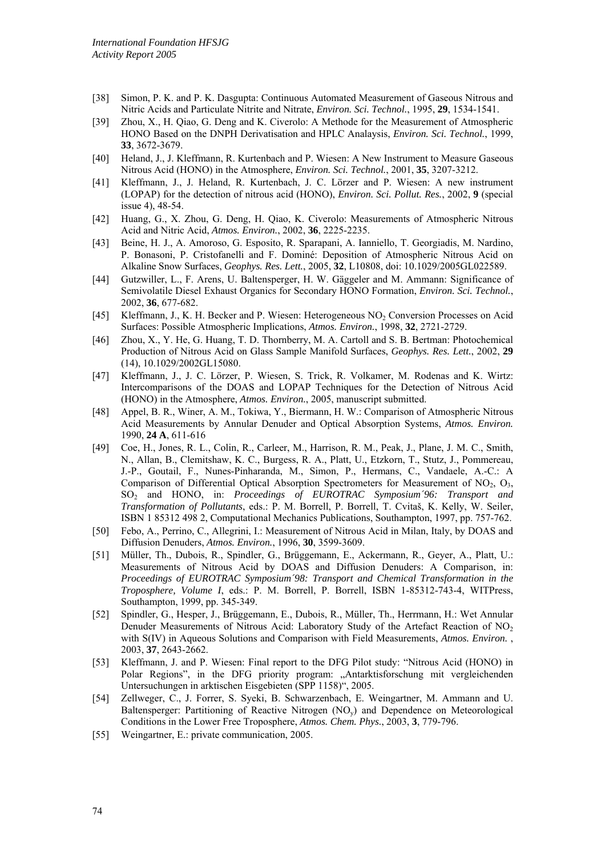- [38] Simon, P. K. and P. K. Dasgupta: Continuous Automated Measurement of Gaseous Nitrous and Nitric Acids and Particulate Nitrite and Nitrate, *Environ. Sci. Technol.*, 1995, **29**, 1534-1541.
- [39] Zhou, X., H. Qiao, G. Deng and K. Civerolo: A Methode for the Measurement of Atmospheric HONO Based on the DNPH Derivatisation and HPLC Analaysis, *Environ. Sci. Technol.*, 1999, **33**, 3672-3679.
- [40] Heland, J., J. Kleffmann, R. Kurtenbach and P. Wiesen: A New Instrument to Measure Gaseous Nitrous Acid (HONO) in the Atmosphere, *Environ. Sci. Technol.*, 2001, **35**, 3207-3212.
- [41] Kleffmann, J., J. Heland, R. Kurtenbach, J. C. Lörzer and P. Wiesen: A new instrument (LOPAP) for the detection of nitrous acid (HONO), *Environ. Sci. Pollut. Res.*, 2002, **9** (special issue 4), 48-54.
- [42] Huang, G., X. Zhou, G. Deng, H. Qiao, K. Civerolo: Measurements of Atmospheric Nitrous Acid and Nitric Acid, *Atmos. Environ.*, 2002, **36**, 2225-2235.
- [43] Beine, H. J., A. Amoroso, G. Esposito, R. Sparapani, A. Ianniello, T. Georgiadis, M. Nardino, P. Bonasoni, P. Cristofanelli and F. Dominé: Deposition of Atmospheric Nitrous Acid on Alkaline Snow Surfaces, *Geophys. Res. Lett.*, 2005, **32**, L10808, doi: 10.1029/2005GL022589.
- [44] Gutzwiller, L., F. Arens, U. Baltensperger, H. W. Gäggeler and M. Ammann: Significance of Semivolatile Diesel Exhaust Organics for Secondary HONO Formation, *Environ. Sci. Technol.*, 2002, **36**, 677-682.
- [45] Kleffmann, J., K. H. Becker and P. Wiesen: Heterogeneous NO2 Conversion Processes on Acid Surfaces: Possible Atmospheric Implications, *Atmos. Environ.*, 1998, **32**, 2721-2729.
- [46] Zhou, X., Y. He, G. Huang, T. D. Thornberry, M. A. Cartoll and S. B. Bertman: Photochemical Production of Nitrous Acid on Glass Sample Manifold Surfaces, *Geophys. Res. Lett.*, 2002, **29** (14), 10.1029/2002GL15080.
- [47] Kleffmann, J., J. C. Lörzer, P. Wiesen, S. Trick, R. Volkamer, M. Rodenas and K. Wirtz: Intercomparisons of the DOAS and LOPAP Techniques for the Detection of Nitrous Acid (HONO) in the Atmosphere, *Atmos. Environ.*, 2005, manuscript submitted.
- [48] Appel, B. R., Winer, A. M., Tokiwa, Y., Biermann, H. W.: Comparison of Atmospheric Nitrous Acid Measurements by Annular Denuder and Optical Absorption Systems, *Atmos. Environ.* 1990, **24 A**, 611-616
- [49] Coe, H., Jones, R. L., Colin, R., Carleer, M., Harrison, R. M., Peak, J., Plane, J. M. C., Smith, N., Allan, B., Clemitshaw, K. C., Burgess, R. A., Platt, U., Etzkorn, T., Stutz, J., Pommereau, J.-P., Goutail, F., Nunes-Pinharanda, M., Simon, P., Hermans, C., Vandaele, A.-C.: A Comparison of Differential Optical Absorption Spectrometers for Measurement of  $NO<sub>2</sub>, O<sub>3</sub>$ , SO2 and HONO, in: *Proceedings of EUROTRAC Symposium´96: Transport and Transformation of Pollutants*, eds.: P. M. Borrell, P. Borrell, T. Cvitaš, K. Kelly, W. Seiler, ISBN 1 85312 498 2, Computational Mechanics Publications, Southampton, 1997, pp. 757-762.
- [50] Febo, A., Perrino, C., Allegrini, I.: Measurement of Nitrous Acid in Milan, Italy, by DOAS and Diffusion Denuders, *Atmos. Environ.*, 1996, **30**, 3599-3609.
- [51] Müller, Th., Dubois, R., Spindler, G., Brüggemann, E., Ackermann, R., Geyer, A., Platt, U.: Measurements of Nitrous Acid by DOAS and Diffusion Denuders: A Comparison, in: *Proceedings of EUROTRAC Symposium´98: Transport and Chemical Transformation in the Troposphere, Volume I*, eds.: P. M. Borrell, P. Borrell, ISBN 1-85312-743-4, WITPress, Southampton, 1999, pp. 345-349.
- [52] Spindler, G., Hesper, J., Brüggemann, E., Dubois, R., Müller, Th., Herrmann, H.: Wet Annular Denuder Measurements of Nitrous Acid: Laboratory Study of the Artefact Reaction of NO2 with S(IV) in Aqueous Solutions and Comparison with Field Measurements, *Atmos. Environ.* , 2003, **37**, 2643-2662.
- [53] Kleffmann, J. and P. Wiesen: Final report to the DFG Pilot study: "Nitrous Acid (HONO) in Polar Regions", in the DFG priority program: "Antarktisforschung mit vergleichenden Untersuchungen in arktischen Eisgebieten (SPP 1158)", 2005.
- [54] Zellweger, C., J. Forrer, S. Syeki, B. Schwarzenbach, E. Weingartner, M. Ammann and U. Baltensperger: Partitioning of Reactive Nitrogen (NO<sub>y</sub>) and Dependence on Meteorological Conditions in the Lower Free Troposphere, *Atmos. Chem. Phys.*, 2003, **3**, 779-796.
- [55] Weingartner, E.: private communication, 2005.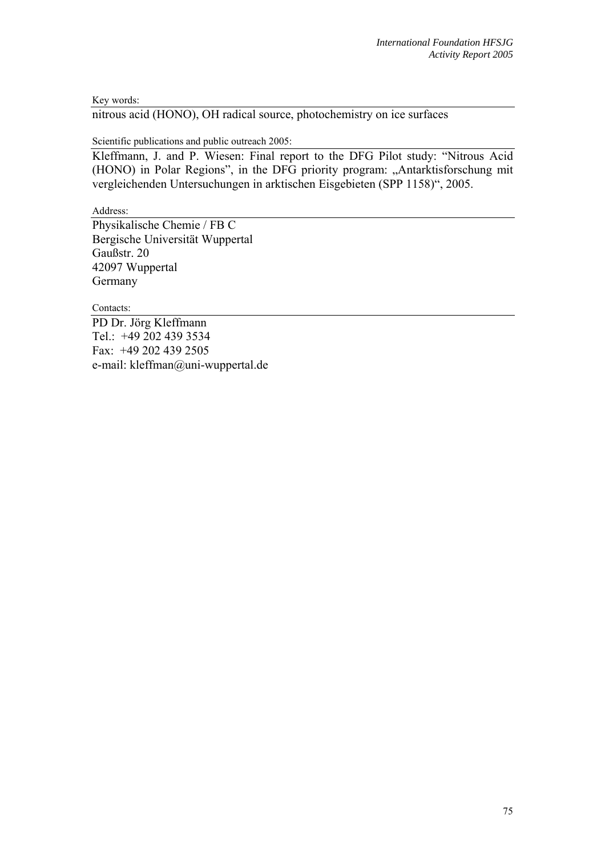Key words:

nitrous acid (HONO), OH radical source, photochemistry on ice surfaces

Scientific publications and public outreach 2005:

Kleffmann, J. and P. Wiesen: Final report to the DFG Pilot study: "Nitrous Acid (HONO) in Polar Regions", in the DFG priority program: "Antarktisforschung mit vergleichenden Untersuchungen in arktischen Eisgebieten (SPP 1158)", 2005.

Address:

Physikalische Chemie / FB C Bergische Universität Wuppertal Gaußstr. 20 42097 Wuppertal Germany

Contacts:

PD Dr. Jörg Kleffmann Tel.: +49 202 439 3534 Fax: +49 202 439 2505 e-mail: kleffman@uni-wuppertal.de